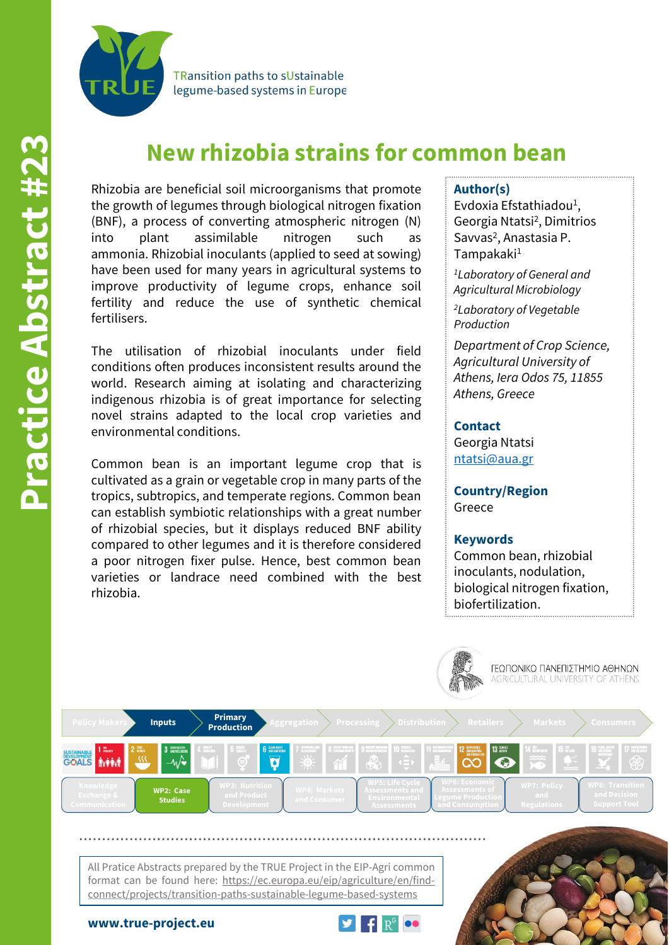

**TRansition paths to sUstainable** legume-based systems in Europe

# **New rhizobia strains for common bean**

Rhizobia are beneficial soil microorganisms that promote the growth of legumes through biological nitrogen fixation (BNF), a process of converting atmospheric nitrogen (N) into plant assimilable nitrogen such as ammonia. Rhizobial inoculants (applied to seed at sowing) have been used for many years in agricultural systems to improve productivity of legume crops, enhance soil fertility and reduce the use of synthetic chemical fertilisers.

The utilisation of rhizobial inoculants under field conditions often produces inconsistent results around the world. Research aiming at isolating and characterizing indigenous rhizobia is of great importance for selecting novel strains adapted to the local crop varieties and environmental conditions.

Common bean is an important legume crop that is cultivated as a grain or vegetable crop in many parts of the tropics, subtropics, and temperate regions. Common bean can establish symbiotic relationships with a great number of rhizobial species, but it displays reduced BNF ability compared to other legumes and it is therefore considered a poor nitrogen fixer pulse. Hence, best common bean varieties or landrace need combined with the best rhizobia.

## **Author(s)**

Evdoxia Efstathiadou<sup>1</sup>, Georgia Ntatsi2, Dimitrios Savvas<sup>2</sup>, Anastasia P. Tampakaki1

*1Laboratory of General and Agricultural Microbiology*

*2Laboratory of Vegetable Production*

*Department of Crop Science, Agricultural University of Athens, Iera Odos 75, 11855 Athens, Greece*

## **Contact**

Georgia Ntatsi [ntatsi@aua.gr](mailto:ntatsi@aua.gr)

**Country/Region** Greece

#### **Keywords**

Common bean, rhizobial inoculants, nodulation, biological nitrogen fixation, biofertilization.



All Pratice Abstracts prepared by the TRUE Project in the EIP-Agri common format can be found here: https://ec.europa.eu/eip/agriculture/en/findconnect/projects/transition-paths-sustainable-legume-based-systems

**www.true-project.eu**





ΓΕΩΠΟΝΙΚΟ ΠΑΝΕΠΙΣΤΗΜΙΟ ΑΘΗΝΩΝ<br>AGRICULTURAL UNIVERSITY OF ATHENS